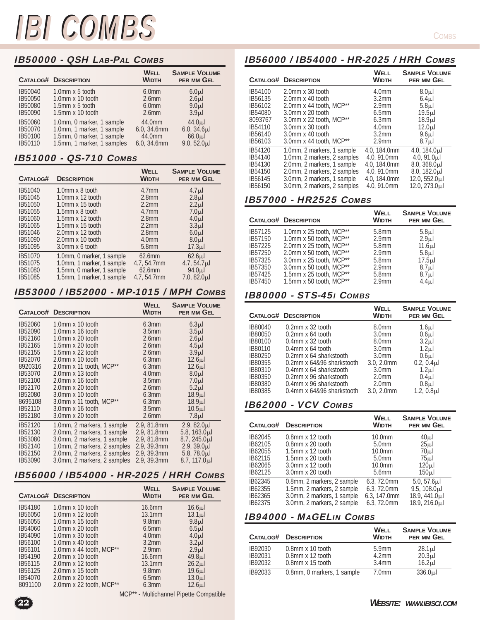# IB50000 - QSH LAB-PAL COMBS

|         | <b>CATALOG# DESCRIPTION</b> | <b>WELL</b><br><b>WIDTH</b> | <b>SAMPLE VOLUME</b><br>PER MM GEL |
|---------|-----------------------------|-----------------------------|------------------------------------|
| IB50040 | 1.0mm x 5 tooth             | 6.0mm                       | 6.0 <sub>µ</sub>                   |
| IB50050 | 1.0mm x 10 tooth            | 2.6 <sub>mm</sub>           | 2.6 <sub>µ</sub>                   |
| IB50080 | $1.5$ mm x 5 tooth          | 6.0 <sub>mm</sub>           | 9.0 <sub>µ</sub>                   |
| IB50090 | $1.5$ mm x 10 tooth         | 2.6 <sub>mm</sub>           | 3.9 <sub>µ</sub>                   |
| IB50060 | 1.0mm, 0 marker, 1 sample   | 44.0mm                      | 44.0 <sub>µ</sub>                  |
| IB50070 | 1.0mm, 1 marker, 1 sample   | 6.0, 34.6mm                 | $6.0, 34.6 \mu$                    |
| IB50100 | 1.5mm, 0 marker, 1 sample   | 44.0mm                      | 66.0 <sub>µ</sub>                  |
| IB50110 | 1.5mm, 1 marker, 1 samples  | 6.0, 34.6mm                 | $9.0, 52.0 \mu$                    |

### IB51000 - QS-710 COMBS

| CATALOG# | <b>DESCRIPTION</b>        | <b>WELL</b><br><b>WIDTH</b> | <b>SAMPLE VOLUME</b><br>PER MM GEL |
|----------|---------------------------|-----------------------------|------------------------------------|
| IB51040  | 1.0mm x 8 tooth           | 4.7 <sub>mm</sub>           | 4.7 <sub>µ</sub>                   |
| IB51045  | $1.0$ mm x $12$ tooth     | 2.8 <sub>mm</sub>           | 2.8 <sub>µ</sub>                   |
| IB51050  | 1.0mm x 15 tooth          | 2.2mm                       | 2.2 <sub>µ</sub>                   |
| IB51055  | 1.5mm x 8 tooth           | 4.7 <sub>mm</sub>           | 7.0 <sub>µ</sub>                   |
| IB51060  | 1.5mm x 12 tooth          | 2.8 <sub>mm</sub>           | 4.0 <sub>µ</sub>                   |
| IB51065  | $1.5$ mm x $15$ tooth     | 2.2 <sub>mm</sub>           | 3.3 <sub>µ</sub>                   |
| IB51046  | 2.0mm x 12 tooth          | 2.8 <sub>mm</sub>           | 6.0 <sub>µ</sub>                   |
| IB51090  | 2.0mm x 10 tooth          | 4.0 <sub>mm</sub>           | 8.0 <sub>µ</sub>                   |
| IB51095  | 3.0mm x 6 tooth           | 5.8mm                       | 17.3 <sub>µ</sub>                  |
| IB51070  | 1.0mm, 0 marker, 1 sample | $62.6$ mm                   | $62.6 \mu$                         |
| IB51075  | 1.0mm, 1 marker, 1 sample | 4.7, 54.7mm                 | 4.7, 54.7 <sub>µ</sub>             |
| IB51080  | 1.5mm, 0 marker, 1 sample | 62.6mm                      | 94.0 <sub>µ</sub>                  |
| IB51085  | 1.5mm, 1 marker, 1 sample | 4.7, 54.7mm                 | 7.0, 82.0 <sub>µ</sub>             |

## IB53000 / IB52000 - MP-1015 / MPH COMBS

|         | <b>CATALOG# DESCRIPTION</b>         | <b>WELL</b><br><b>WIDTH</b> | <b>SAMPLE VOLUME</b><br>PER MM GEL |
|---------|-------------------------------------|-----------------------------|------------------------------------|
| IB52060 | 1.0mm x 10 tooth                    | 6.3mm                       | 6.3 <sub>µ</sub>                   |
| IB52090 | 1.0mm x 16 tooth                    | 3.5 <sub>mm</sub>           | 3.5 <sub>µ</sub>                   |
| IB52160 | 1.0mm $\times$ 20 tooth             | 2.6 <sub>mm</sub>           | 2.6 <sub>µ</sub>                   |
| IB52165 | 1.5mm x 20 tooth                    | 2.6 <sub>mm</sub>           | 4.5 <sub>µ</sub>                   |
| IB52155 | 1.5mm x 22 tooth                    | 2.6 <sub>mm</sub>           | 3.9 <sub>µ</sub>                   |
| IB52070 | 2.0mm x 10 tooth                    | 6.3mm                       | 12.6 <sub>µ</sub>                  |
| 8920316 | 2.0mm x 11 tooth, MCP <sup>**</sup> | 6.3mm                       | 12.6 <sub>µ</sub>                  |
| IB53070 | 2.0mm x 13 tooth                    | 4.0 <sub>mm</sub>           | 8.0 <sub>µ</sub>                   |
| IB52100 | 2.0mm x 16 tooth                    | 3.5 <sub>mm</sub>           | 7.0 <sub>µ</sub>                   |
| IB52170 | 2.0mm x 20 tooth                    | 2.6 <sub>mm</sub>           | 5.2 <sub>µ</sub>                   |
| IB52080 | 3.0mm x 10 tooth                    | 6.3mm                       | 18.9 <sub>µ</sub>                  |
| 8695108 | 3.0mm x 11 tooth, MCP <sup>**</sup> | 6.3mm                       | 18.9 <sub>µ</sub>                  |
| IB52110 | 3.0mm x 16 tooth                    | 3.5 <sub>mm</sub>           | 10.5 <sub>µ</sub>                  |
| IB52180 | 3.0mm x 20 tooth                    | 2.6 <sub>mm</sub>           | 7.8 <sub>µ</sub>                   |
| IB52120 | 1.0mm, 2 markers, 1 sample          | 2.9, 81.8mm                 | $2.9, 82.0 \mu$                    |
| IB52130 | 2.0mm, 2 markers, 1 sample          | 2.9, 81.8mm                 | 5.8, $163.0 \mu$                   |
| IB53080 | 3.0mm, 2 markers, 1 sample          | 2.9, 81.8mm                 | $8.7, 245.0 \mu$                   |
| IB52140 | 1.0mm, 2 markers, 2 samples         | 2.9, 39.3mm                 | $2.9, 39.0 \mu$                    |
| IB52150 | 2.0mm, 2 markers, 2 samples         | 2.9, 39.3mm                 | 5.8, $78.0 \mu$                    |
| IB53090 | 3.0mm, 2 markers, 2 samples         | 2.9, 39.3mm                 | $8.7, 117.0 \mu$                   |

# IB56000 / IB54000 - HR-2025 / HRH COMBS

|         | <b>CATALOG# DESCRIPTION</b> | <b>WELL</b><br><b>WIDTH</b> | <b>SAMPLE VOLUME</b><br>PER MM GEL |
|---------|-----------------------------|-----------------------------|------------------------------------|
| IB54180 | $1.0$ mm x $10$ tooth       | 16.6mm                      | 16.6 <sub>µ</sub>                  |
| IB56050 | $1.0$ mm x $12$ tooth       | $13.1$ mm                   | 13.1 <sub>µ</sub>                  |
| IB56055 | $1.0$ mm x $15$ tooth       | 9.8mm                       | 9.8 <sub>µ</sub>                   |
| IB54060 | $1.0$ mm x $20$ tooth       | 6.5mm                       | 6.5 <sub>µ</sub>                   |
| IB54090 | $1.0$ mm x 30 tooth         | 4.0 <sub>mm</sub>           | 4.0 <sub>µ</sub>                   |
| IB56100 | $1.0$ mm x 40 tooth         | 3.2mm                       | 3.2 <sub>µ</sub>                   |
| IB56101 | 1.0mm x 44 tooth, $MCP**$   | 2.9 <sub>mm</sub>           | 2.9 <sub>µ</sub>                   |
| IB54190 | $2.0$ mm x 10 tooth         | 16.6mm                      | 49.8 <sub>µ</sub>                  |
| IB56115 | $2.0$ mm x 12 tooth         | $13.1$ mm                   | 26.2 <sub>µ</sub>                  |
| IB56125 | 2.0mm x 15 tooth            | 9.8mm                       | 19.6 <sub>µ</sub>                  |
| IB54070 | 2.0mm x 20 tooth            | 6.5mm                       | 13.0 <sub>µ</sub>                  |
| 8091100 | 2.0mm x 22 tooth, MCP**     | 6.3mm                       | 12.6 <sub>µ</sub>                  |

**22**

MCP\*\* - Multichannel Pipette Compatible

#### **COMBS**

## IB56000 / IB54000 - HR-2025 / HRH COMBS

|         | <b>CATALOG# DESCRIPTION</b>         | <b>WELL</b><br><b>WIDTH</b> | <b>SAMPLE VOLUME</b><br>PER MM GEL |
|---------|-------------------------------------|-----------------------------|------------------------------------|
| IB54100 | $2.0$ mm x 30 tooth                 | 4.0 <sub>mm</sub>           | 8.0 <sub>µ</sub>                   |
| IB56135 | $2.0$ mm x 40 tooth                 | 3.2 <sub>mm</sub>           | 6.4 <sub>µ</sub>                   |
| IB56102 | 2.0mm x 44 tooth, MCP <sup>**</sup> | 2.9 <sub>mm</sub>           | 5.8 <sub>µ</sub>                   |
| IB54080 | $3.0$ mm x $20$ tooth               | 6.5mm                       | 19.5 <sub>µ</sub>                  |
| 8093767 | 3.0mm x 22 tooth, MCP <sup>**</sup> | 6.3mm                       | 18.9 <sub>µ</sub>                  |
| IB54110 | $3.0$ mm x $30$ tooth               | 4.0 <sub>mm</sub>           | 12.0 <sub>µ</sub>                  |
| IB56140 | 3.0mm x 40 tooth                    | 3.2 <sub>mm</sub>           | 9.6 <sub>µ</sub>                   |
| IB56103 | 3.0mm x 44 tooth, MCP <sup>**</sup> | 2.9 <sub>mm</sub>           | 8.7 <sub>µ</sub>                   |
| IB54120 | 1.0mm, 2 markers, 1 sample          | 4.0, 184.0mm                | 4.0, $184.0\mu$                    |
| IB54140 | 1.0mm, 2 markers, 2 samples         | 4.0, 91.0mm                 | 4.0, $91.0\mu$                     |
| IB54130 | 2.0mm, 2 markers, 1 sample          | 4.0, 184.0mm                | $8.0, 368.0 \mu$                   |
| IB54150 | 2.0mm, 2 markers, 2 samples         | 4.0, 91.0mm                 | $8.0, 182.0 \mu$                   |
| IB56145 | 3.0mm, 2 markers, 1 sample          | 4.0, 184.0mm                | 12.0, 552.0µl                      |
| IB56150 | 3.0mm, 2 markers, 2 samples         | 4.0, 91.0mm                 | 12.0, 273.0µl                      |

### IB57000 - HR2525 COMBS

|         | <b>CATALOG# DESCRIPTION</b>           | WELL<br><b>WIDTH</b> | <b>SAMPLE VOLUME</b><br>PER MM GEL |
|---------|---------------------------------------|----------------------|------------------------------------|
| IB57125 | 1.0mm x 25 tooth, $MCP**$             | 5.8mm                | 5.8 <sub>µ</sub>                   |
| IB57150 | 1.0mm $x$ 50 tooth, MCP <sup>**</sup> | 2.9 <sub>mm</sub>    | 2.9 <sub>µ</sub>                   |
| IB57225 | 2.0mm x 25 tooth, $MCP**$             | 5.8mm                | 11.6 <sub>µ</sub>                  |
| IB57250 | 2.0mm $x$ 50 tooth, MCP <sup>**</sup> | $2.9$ mm             | 5.8 <sub>µ</sub>                   |
| IB57325 | 3.0mm x 25 tooth, MCP <sup>**</sup>   | 5.8mm                | 17.5 <sub>µ</sub>                  |
| IB57350 | 3.0mm x 50 tooth, MCP <sup>**</sup>   | 2.9 <sub>mm</sub>    | 8.7 <sub>µ</sub>                   |
| IB57425 | 1.5mm x 25 tooth, $MCP**$             | 5.8mm                | 8.7 <sub>µ</sub>                   |
| IB57450 | 1.5mm $x$ 50 tooth, MCP <sup>**</sup> | 2.9 <sub>mm</sub>    | 4.4 <sub>µ</sub>                   |

### IB80000 - STS-45I COMBS

|         | CATALOG# DESCRIPTION      | <b>WELL</b><br><b>WIDTH</b> | <b>SAMPLE VOLUME</b><br>PER MM GEL |
|---------|---------------------------|-----------------------------|------------------------------------|
| IB80040 | $0.2$ mm x 32 tooth       | 8.0 <sub>mm</sub>           | 1.6 <sub>µ</sub>                   |
| IB80050 | $0.2$ mm x 64 tooth       | 3.0 <sub>mm</sub>           | 0.6 <sub>µ</sub>                   |
| IB80100 | $0.4$ mm x 32 tooth       | 8.0 <sub>mm</sub>           | 3.2 <sub>µ</sub>                   |
| IB80110 | $0.4$ mm x 64 tooth       | 3.0 <sub>mm</sub>           | 1.2 <sub>µ</sub>                   |
| IB80250 | 0.2mm x 64 sharkstooth    | 3.0 <sub>mm</sub>           | 0.6 <sub>µ</sub>                   |
| IB80355 | 0.2mm x 64&96 sharkstooth | $3.0.2.0$ mm                | $0.2, 0.4 \mu$                     |
| IB80310 | 0.4mm x 64 sharkstooth    | 3.0 <sub>mm</sub>           | 1.2 <sub>µ</sub>                   |
| IB80350 | 0.2mm x 96 sharkstooth    | 2.0 <sub>mm</sub>           | 0.4 <sub>µ</sub>                   |
| IB80380 | 0.4mm x 96 sharkstooth    | 2.0 <sub>mm</sub>           | 0.8 <sub>µ</sub>                   |
| IB80385 | 0.4mm x 64&96 sharkstooth | $3.0.2.0$ mm                | $1.2, 0.8 \mu$                     |

### IB62000 - VCV COMBS

| <b>CATALOG#</b> | <b>DESCRIPTION</b>         | <b>WELL</b><br><b>WIDTH</b> | <b>SAMPLE VOLUME</b><br>PER MM GEL |
|-----------------|----------------------------|-----------------------------|------------------------------------|
| IB62045         | $0.8$ mm x 12 tooth        | 10.0mm                      | 40 <sub>µ</sub>                    |
| IB62105         | 0.8mm x 20 tooth           | 5.0 <sub>mm</sub>           | 25 <sub>µ</sub>                    |
| IB62055         | $1.5$ mm x 12 tooth        | 10.0mm                      | 70 <sub>µ</sub>                    |
| IB62115         | 1.5mm x 20 tooth           | 5.0 <sub>mm</sub>           | 75 <sub>µ</sub>                    |
| IB62065         | 3.0mm x 12 tooth           | 10.0 <sub>mm</sub>          | 120 <sub>µ</sub>                   |
| IB62125         | 3.0mm x 20 tooth           | 5.6 <sub>mm</sub>           | 150 <sub>µ</sub>                   |
| IB62345         | 0.8mm, 2 markers, 2 sample | 6.3, 72.0mm                 | 5.0, 57.6 <sub>µ</sub>             |
| IB62355         | 1.5mm, 2 markers, 2 sample | 6.3, 72.0mm                 | $9.5, 108.0 \mu$                   |
| IB62365         | 3.0mm, 2 markers, 1 sample | 6.3, 147.0mm                | $18.9, 441.0 \mu$                  |
| IB62375         | 3.0mm, 2 markers, 2 sample | 6.3, 72.0mm                 | $18.9, 216.0 \mu$                  |

### IB94000 - MAGELIN COMBS

|                               | CATALOG# DESCRIPTION                                              | WELL<br><b>WIDTH</b>                            | <b>SAMPLE VOLUME</b><br>PER MM GEL                   |
|-------------------------------|-------------------------------------------------------------------|-------------------------------------------------|------------------------------------------------------|
| IB92030<br>IB92031<br>IB92032 | $0.8$ mm x 10 tooth<br>$0.8$ mm x 12 tooth<br>$0.8$ mm x 15 tooth | 5.9mm<br>4.2 <sub>mm</sub><br>3.4 <sub>mm</sub> | $28.1 \mu$<br>20.3 <sub>µ</sub><br>16.2 <sub>µ</sub> |
| IB92033                       | 0.8mm, 0 markers, 1 sample                                        | 7.0 <sub>mm</sub>                               | $336.0 \mu$                                          |